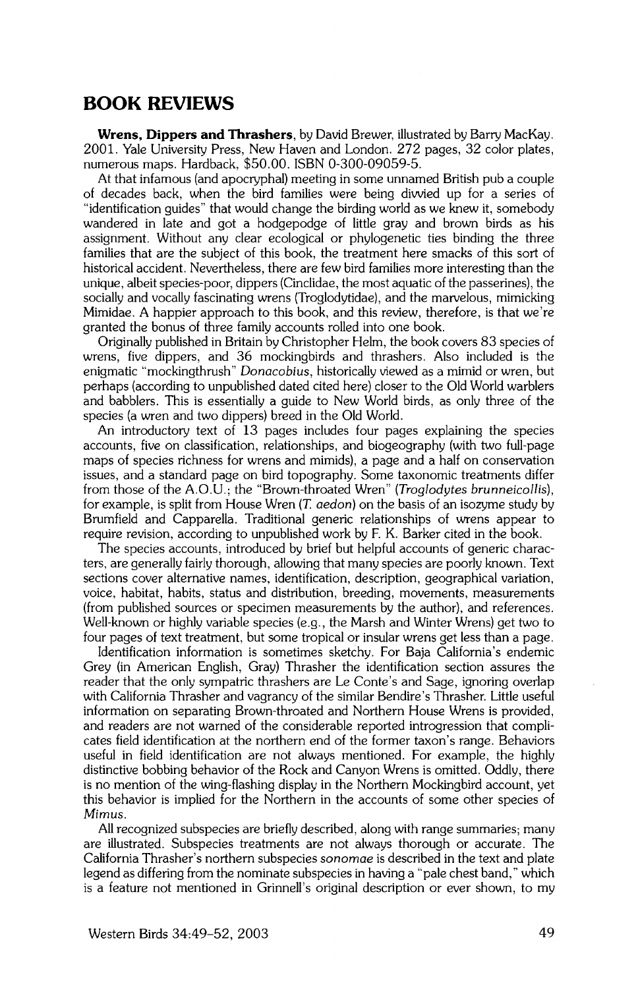## **BOOK REVIEWS**

**Wrens, Dippers and Thrashers, by David Brewer, illustrated by Barry MacKay. 2001. Yale University Press, New Haven and London. 272 pages, 32 color plates, numerous maps. Hardback, \$50.00. ISBN 0-300-09059-5.** 

**At that infamous (and apocryphal) meeting in some unnamed British pub a couple of decades back, when the bird families were being divvied up for a series of "identification guides" that would change the birding world as we knew it, somebody wandered in late and got a hodgepodge of little gray and brown birds as his assignment. Without any clear ecological or phylogenetic ties binding the three families that are the subject of this book, the treatment here smacks of this sort of historical accident. Nevertheless, there are few bird families more interesting than the**  unique, albeit species-poor, dippers (Cinclidae, the most aquatic of the passerines), the **socially and vocally fascinating wrens (Troglodytidae), and the marvelous, mimicking Mimidae. A happier approach to this book, and this review, therefore, is that we're granted the bonus of three family accounts rolled into one book.** 

**Originally published in Britain by Christopher Helm, the book covers 83 species of wrens, five dippers, and 36 mockingbirds and thrashers. Also included is the enigmatic "mockingthrush" Donacobius, historically viewed as a mimid or wren, but**  perhaps (according to unpublished dated cited here) closer to the Old World warblers **and babblers. This is essentially a guide to New World birds, as only three of the species (a wren and two dippers) breed in the Old World.** 

**An introductory text of 13 pages includes four pages explaining the species accounts, five on classification, relationships, and biogeography (with two full-page maps of species richness for wrens and mimids), a page and a half on conservation issues, and a standard page on bird topography. Some taxonomic treatments differ from those of the A.O.U.; the "Brown-throated Wren" (Troglodytes brunneicollis), for example, is split from House Wren (T. aedon) on the basis of an isozyme study by Brumfield and Capparella. Traditional generic relationships of wrens appear to require revision, according to unpublished work by F. K. Barker cited in the book.** 

**The species accounts, introduced by brief but helpful accounts of generic characters, are generally fairly thorough, allowing that many species are poorly known. Text sections cover alternative names, identification, description, geographical variation, voice, habitat, habits, status and distribution, breeding, movements, measurements (from published sources or specimen measurements by the author), and references. Well-known or highly variable species (e.g., the Marsh and Winter Wrens) get two to four pages of text treatment, but some tropical or insular wrens get less than a page.** 

**Identification information is sometimes sketchy. For Baja California's endemic Grey (in American English, Gray) Thrasher the identification section assures the**  reader that the only sympatric thrashers are Le Conte's and Sage, ignoring overlap **with California Thrasher and vagrancy of the similar Bendire's Thrasher. Little useful information on separating Brown-throated and Northern House Wrens is provided, and readers are not warned of the considerable reported introgression that compli**cates field identification at the northern end of the former taxon's range. Behaviors **useful in field identification are not always mentioned. For example, the highly distinctive bobbing behavior of the Rock and Canyon Wrens is omitted. Oddly, there is no mention of the wing-flashing display in the Northern Mockingbird account, yet this behavior is implied for the Northern in the accounts of some other species of** 

**All recognized subspecies are briefly described, along with range summaries; many are illustrated. Subspecies treatments are not always thorough or accurate. The California Thrasher's northern subspecies sonomae is described in the text and plate legend as differing from the nominate subspecies inhaving a "pale chest band," which is a feature not mentioned in Grinnell's original description or ever shown, to my**